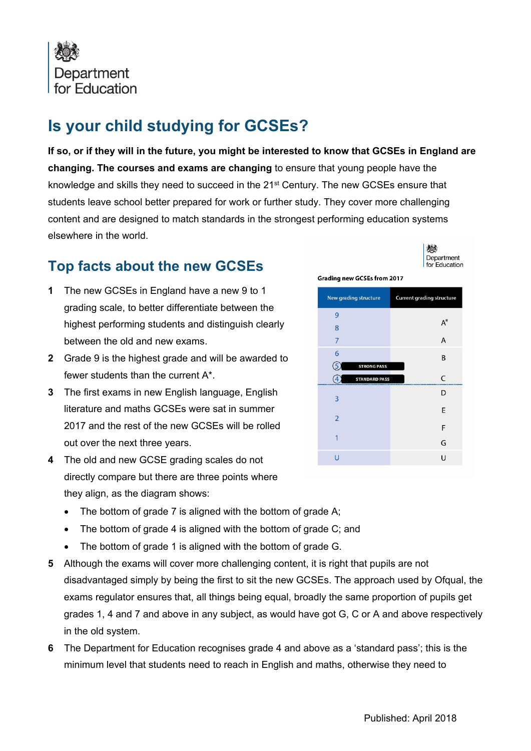

## **Is your child studying for GCSEs?**

**If so, or if they will in the future, you might be interested to know that GCSEs in England are changing. The courses and exams are changing** to ensure that young people have the knowledge and skills they need to succeed in the 21<sup>st</sup> Century. The new GCSEs ensure that students leave school better prepared for work or further study. They cover more challenging content and are designed to match standards in the strongest performing education systems elsewhere in the world.

## **Top facts about the new GCSEs**

- **1** The new GCSEs in England have a new 9 to 1 grading scale, to better differentiate between the highest performing students and distinguish clearly between the old and new exams.
- **2** Grade 9 is the highest grade and will be awarded to fewer students than the current A\*.
- **3** The first exams in new English language, English literature and maths GCSEs were sat in summer 2017 and the rest of the new GCSEs will be rolled out over the next three years.
- **4** The old and new GCSE grading scales do not directly compare but there are three points where they align, as the diagram shows:
	- The bottom of grade 7 is aligned with the bottom of grade A;
	- The bottom of grade 4 is aligned with the bottom of grade C; and
	- The bottom of grade 1 is aligned with the bottom of grade G.
- **5** Although the exams will cover more challenging content, it is right that pupils are not disadvantaged simply by being the first to sit the new GCSEs. The approach used by Ofqual, the exams regulator ensures that, all things being equal, broadly the same proportion of pupils get grades 1, 4 and 7 and above in any subject, as would have got G, C or A and above respectively in the old system.
- **6** The Department for Education recognises grade 4 and above as a 'standard pass'; this is the minimum level that students need to reach in English and maths, otherwise they need to

| New grading structure | <b>Current grading structure</b> |  |
|-----------------------|----------------------------------|--|
| 9                     | $A^*$                            |  |
| 8                     |                                  |  |
| 7                     | A                                |  |
| 6                     | B                                |  |
| <b>STRONG PASS</b>    |                                  |  |
| <b>STANDARD PASS</b>  | C                                |  |
| 3                     | D                                |  |
| $\overline{2}$        | E                                |  |
|                       | F                                |  |
| 1                     | G                                |  |
| П                     | Ū                                |  |

**Grading new GCSEs from 2017** 

戀 Department for Education